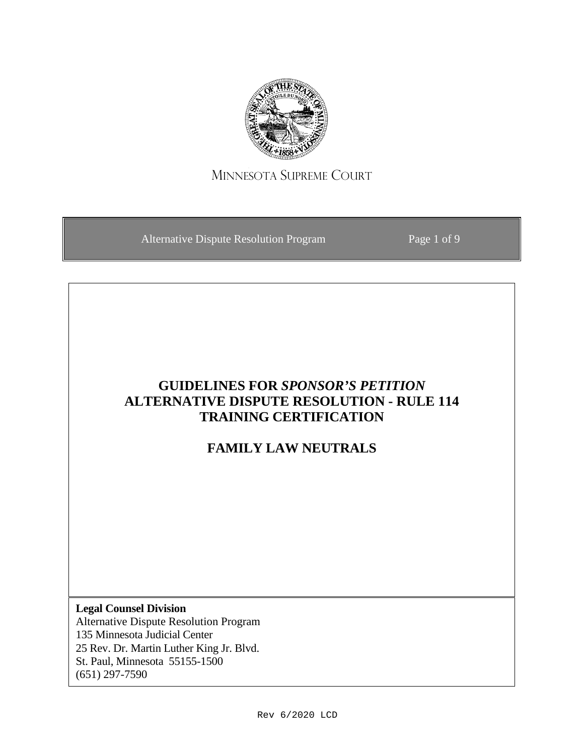

## MINNESOTA SUPREME COURT

Alternative Dispute Resolution Program Page 1 of 9

# **GUIDELINES FOR** *SPONSOR'S PETITION* **ALTERNATIVE DISPUTE RESOLUTION - RULE 114 TRAINING CERTIFICATION**

## **FAMILY LAW NEUTRALS**

**Legal Counsel Division** Alternative Dispute Resolution Program 135 Minnesota Judicial Center 25 Rev. Dr. Martin Luther King Jr. Blvd. St. Paul, Minnesota 55155-1500 (651) 297-7590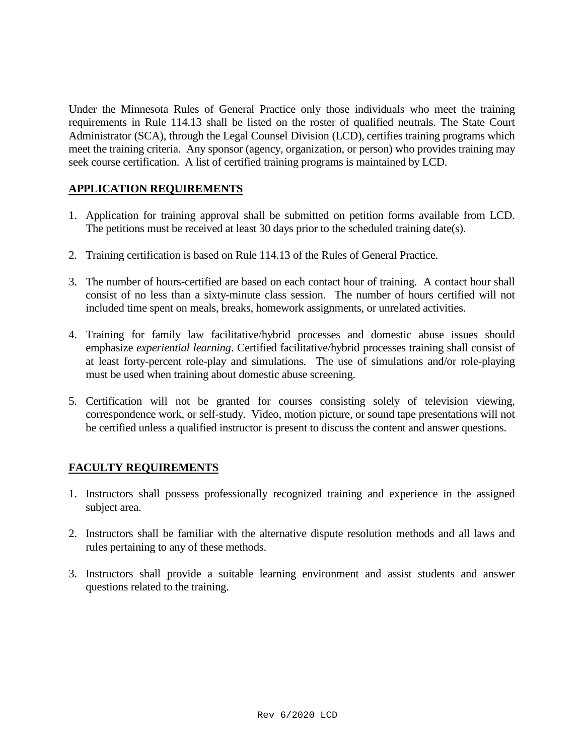Under the Minnesota Rules of General Practice only those individuals who meet the training requirements in Rule 114.13 shall be listed on the roster of qualified neutrals. The State Court Administrator (SCA), through the Legal Counsel Division (LCD), certifies training programs which meet the training criteria. Any sponsor (agency, organization, or person) who provides training may seek course certification. A list of certified training programs is maintained by LCD.

### **APPLICATION REQUIREMENTS**

- 1. Application for training approval shall be submitted on petition forms available from LCD. The petitions must be received at least 30 days prior to the scheduled training date(s).
- 2. Training certification is based on Rule 114.13 of the Rules of General Practice.
- 3. The number of hours-certified are based on each contact hour of training. A contact hour shall consist of no less than a sixty-minute class session. The number of hours certified will not included time spent on meals, breaks, homework assignments, or unrelated activities.
- 4. Training for family law facilitative/hybrid processes and domestic abuse issues should emphasize *experiential learning*. Certified facilitative/hybrid processes training shall consist of at least forty-percent role-play and simulations. The use of simulations and/or role-playing must be used when training about domestic abuse screening.
- 5. Certification will not be granted for courses consisting solely of television viewing, correspondence work, or self-study. Video, motion picture, or sound tape presentations will not be certified unless a qualified instructor is present to discuss the content and answer questions.

## **FACULTY REQUIREMENTS**

- 1. Instructors shall possess professionally recognized training and experience in the assigned subject area.
- 2. Instructors shall be familiar with the alternative dispute resolution methods and all laws and rules pertaining to any of these methods.
- 3. Instructors shall provide a suitable learning environment and assist students and answer questions related to the training.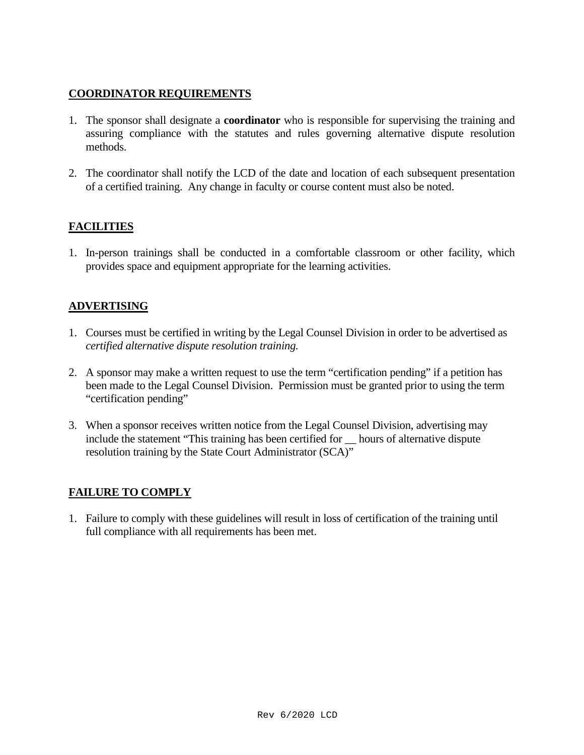### **COORDINATOR REQUIREMENTS**

- 1. The sponsor shall designate a **coordinator** who is responsible for supervising the training and assuring compliance with the statutes and rules governing alternative dispute resolution methods.
- 2. The coordinator shall notify the LCD of the date and location of each subsequent presentation of a certified training. Any change in faculty or course content must also be noted.

## **FACILITIES**

1. In-person trainings shall be conducted in a comfortable classroom or other facility, which provides space and equipment appropriate for the learning activities.

## **ADVERTISING**

- 1. Courses must be certified in writing by the Legal Counsel Division in order to be advertised as *certified alternative dispute resolution training.*
- 2. A sponsor may make a written request to use the term "certification pending" if a petition has been made to the Legal Counsel Division. Permission must be granted prior to using the term "certification pending"
- 3. When a sponsor receives written notice from the Legal Counsel Division, advertising may include the statement "This training has been certified for \_\_ hours of alternative dispute resolution training by the State Court Administrator (SCA)"

### **FAILURE TO COMPLY**

1. Failure to comply with these guidelines will result in loss of certification of the training until full compliance with all requirements has been met.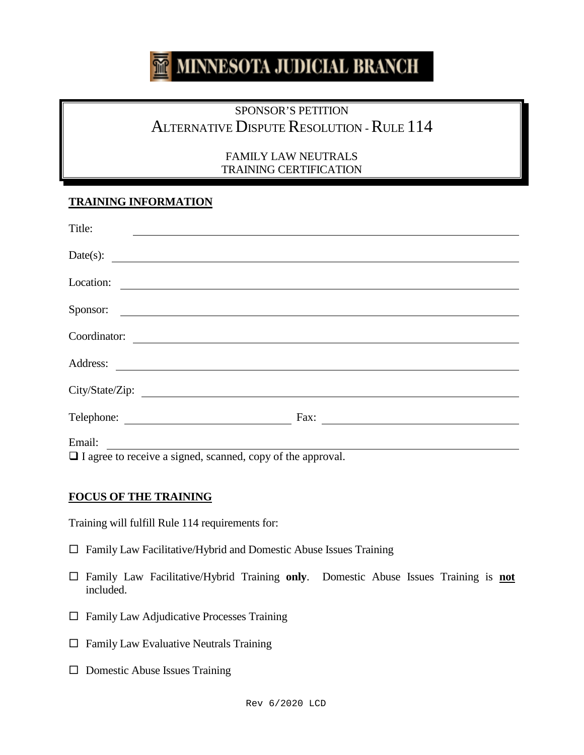#### MINNESOTA JUDICIAL BRANCH **Tiff**

# SPONSOR'S PETITION ALTERNATIVE DISPUTE RESOLUTION - RULE 114

#### FAMILY LAW NEUTRALS TRAINING CERTIFICATION

## **TRAINING INFORMATION**

| Fax:                         |
|------------------------------|
| $C_{\ell}$ 1<br>$\mathbf{1}$ |
|                              |

 $\Box$  I agree to receive a signed, scanned, copy of the approval.

### **FOCUS OF THE TRAINING**

Training will fulfill Rule 114 requirements for:

- $\Box$  Family Law Facilitative/Hybrid and Domestic Abuse Issues Training
- Family Law Facilitative/Hybrid Training **only**. Domestic Abuse Issues Training is **not** included.
- $\Box$  Family Law Adjudicative Processes Training
- $\Box$  Family Law Evaluative Neutrals Training
- $\square$  Domestic Abuse Issues Training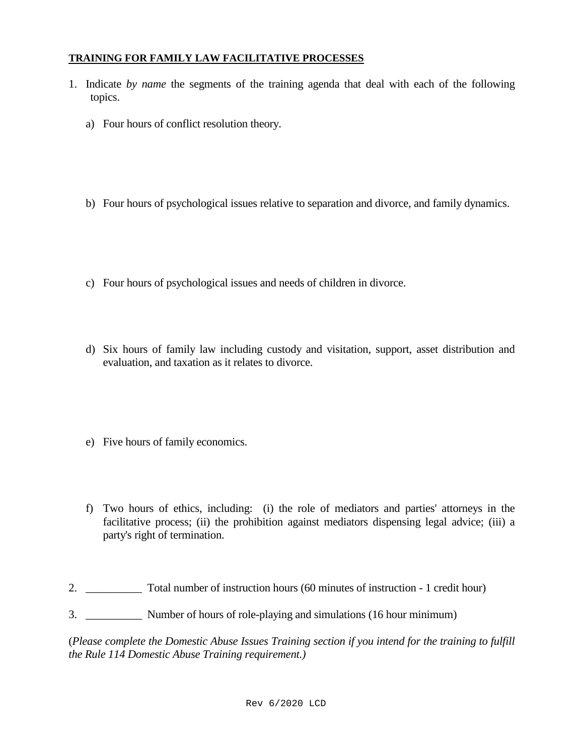#### **TRAINING FOR FAMILY LAW FACILITATIVE PROCESSES**

- 1. Indicate *by name* the segments of the training agenda that deal with each of the following topics.
	- a) Four hours of conflict resolution theory.
	- b) Four hours of psychological issues relative to separation and divorce, and family dynamics.
	- c) Four hours of psychological issues and needs of children in divorce.
	- d) Six hours of family law including custody and visitation, support, asset distribution and evaluation, and taxation as it relates to divorce.
	- e) Five hours of family economics.
	- f) Two hours of ethics, including: (i) the role of mediators and parties' attorneys in the facilitative process; (ii) the prohibition against mediators dispensing legal advice; (iii) a party's right of termination.
- 2. Total number of instruction hours (60 minutes of instruction 1 credit hour)
- 3. \_\_\_\_\_\_\_\_\_\_ Number of hours of role-playing and simulations (16 hour minimum)

(*Please complete the Domestic Abuse Issues Training section if you intend for the training to fulfill the Rule 114 Domestic Abuse Training requirement.)*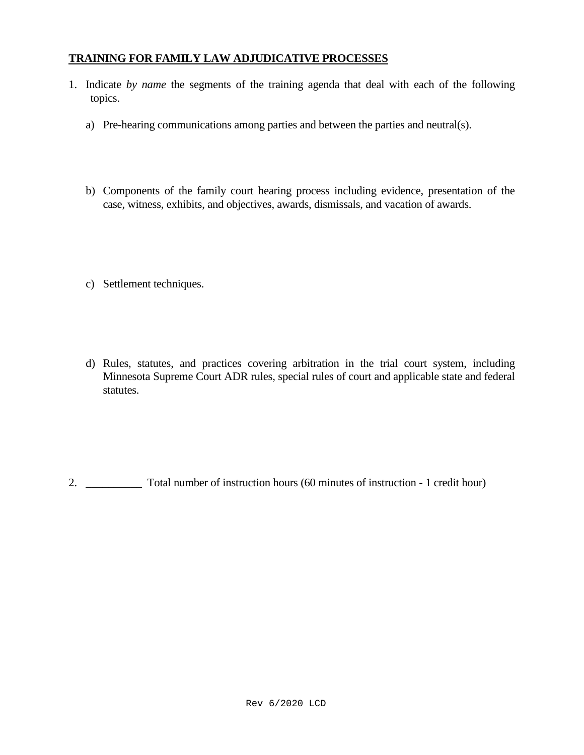### **TRAINING FOR FAMILY LAW ADJUDICATIVE PROCESSES**

- 1. Indicate *by name* the segments of the training agenda that deal with each of the following topics.
	- a) Pre-hearing communications among parties and between the parties and neutral(s).
	- b) Components of the family court hearing process including evidence, presentation of the case, witness, exhibits, and objectives, awards, dismissals, and vacation of awards.
	- c) Settlement techniques.
	- d) Rules, statutes, and practices covering arbitration in the trial court system, including Minnesota Supreme Court ADR rules, special rules of court and applicable state and federal statutes.

2. \_\_\_\_\_\_\_\_\_\_ Total number of instruction hours (60 minutes of instruction - 1 credit hour)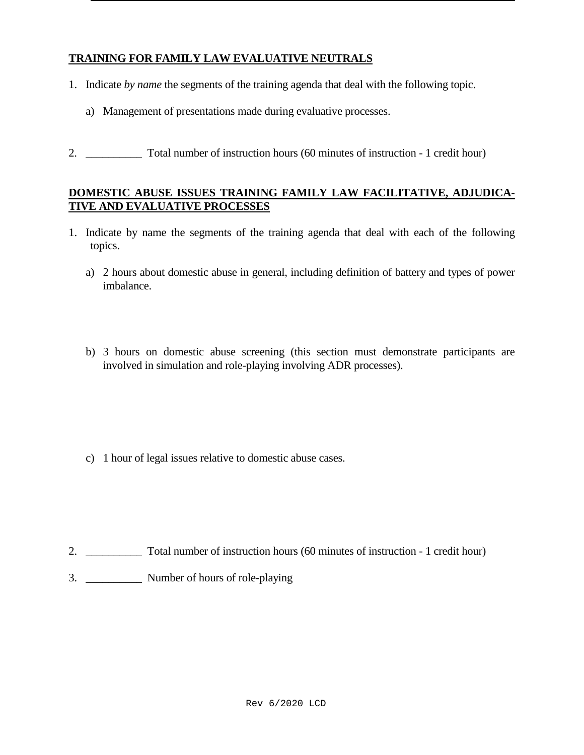## **TRAINING FOR FAMILY LAW EVALUATIVE NEUTRALS**

- 1. Indicate *by name* the segments of the training agenda that deal with the following topic.
	- a) Management of presentations made during evaluative processes.
- 2. \_\_\_\_\_\_\_\_\_\_ Total number of instruction hours (60 minutes of instruction 1 credit hour)

### **DOMESTIC ABUSE ISSUES TRAINING FAMILY LAW FACILITATIVE, ADJUDICA-TIVE AND EVALUATIVE PROCESSES**

- 1. Indicate by name the segments of the training agenda that deal with each of the following topics.
	- a) 2 hours about domestic abuse in general, including definition of battery and types of power imbalance.
	- b) 3 hours on domestic abuse screening (this section must demonstrate participants are involved in simulation and role-playing involving ADR processes).

c) 1 hour of legal issues relative to domestic abuse cases.

- 2. Total number of instruction hours (60 minutes of instruction 1 credit hour)
- 3. \_\_\_\_\_\_\_\_\_\_ Number of hours of role-playing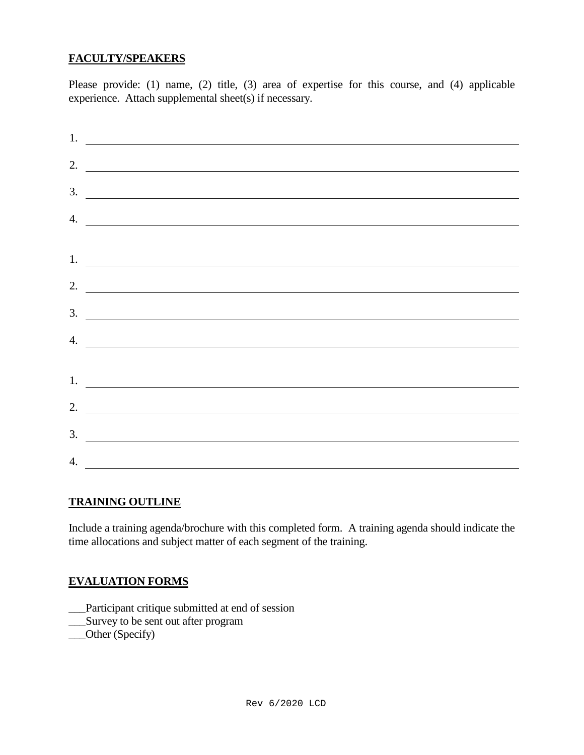## **FACULTY/SPEAKERS**

Please provide: (1) name, (2) title, (3) area of expertise for this course, and (4) applicable experience. Attach supplemental sheet(s) if necessary.

| $\frac{1}{2}$ .             |
|-----------------------------|
| 2. $\overline{\phantom{a}}$ |
|                             |
| $\frac{3}{2}$               |
| $\frac{4}{2}$               |
| 1.                          |
| 2. $\qquad \qquad$          |
| $\frac{3}{2}$               |
| 4. $\qquad \qquad$          |
|                             |
| 1. $\overline{\phantom{a}}$ |
| 2. $\qquad \qquad$          |
| $\overline{\mathbf{3}}$ .   |
| 4.                          |

#### **TRAINING OUTLINE**

Include a training agenda/brochure with this completed form. A training agenda should indicate the time allocations and subject matter of each segment of the training.

### **EVALUATION FORMS**

\_\_\_Participant critique submitted at end of session

\_\_\_Survey to be sent out after program

\_\_\_Other (Specify)